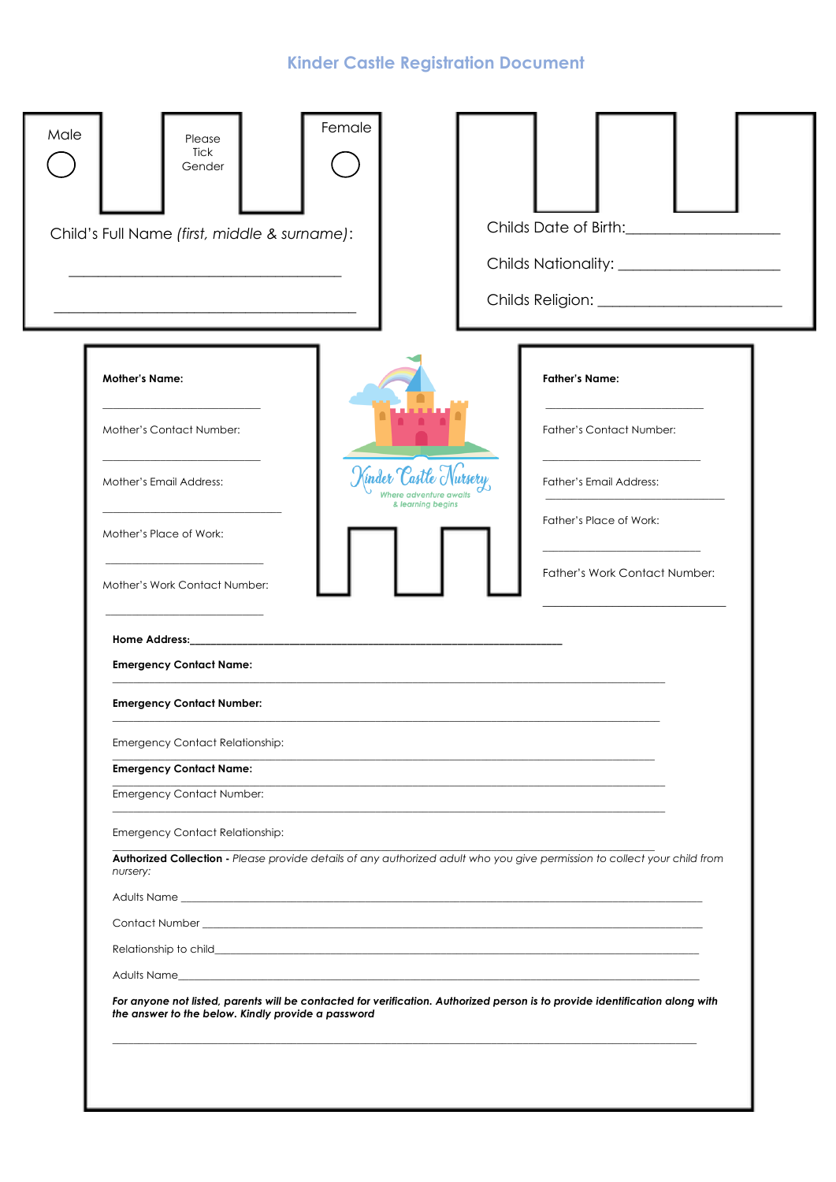# **Kinder Castle Registration Document**

| Male | Please<br>Tick<br>Gender                                           | Female          |                                                                                                                                                                                                                               |
|------|--------------------------------------------------------------------|-----------------|-------------------------------------------------------------------------------------------------------------------------------------------------------------------------------------------------------------------------------|
|      | Child's Full Name (first, middle & surname):                       |                 | Childs Date of Birth: Childs Date of Birth:                                                                                                                                                                                   |
|      | <b>Mother's Name:</b>                                              |                 | <b>Father's Name:</b>                                                                                                                                                                                                         |
|      | Mother's Contact Number:                                           |                 | Father's Contact Number:                                                                                                                                                                                                      |
|      | Mother's Email Address:                                            | Kinder Castle N | Father's Email Address:<br>iere adventure awaits<br>& learning begins                                                                                                                                                         |
|      | Mother's Place of Work:                                            |                 | Father's Place of Work:                                                                                                                                                                                                       |
|      | Mother's Work Contact Number:                                      |                 | Father's Work Contact Number:                                                                                                                                                                                                 |
|      | <b>Emergency Contact Name:</b><br><b>Emergency Contact Number:</b> |                 |                                                                                                                                                                                                                               |
|      | <b>Emergency Contact Relationship:</b>                             |                 |                                                                                                                                                                                                                               |
|      | <b>Emergency Contact Name:</b>                                     |                 |                                                                                                                                                                                                                               |
|      | <b>Emergency Contact Number:</b>                                   |                 |                                                                                                                                                                                                                               |
|      | <b>Emergency Contact Relationship:</b>                             |                 |                                                                                                                                                                                                                               |
|      | nursery:                                                           |                 | Authorized Collection - Please provide details of any authorized adult who you give permission to collect your child from                                                                                                     |
|      |                                                                    |                 |                                                                                                                                                                                                                               |
|      |                                                                    |                 |                                                                                                                                                                                                                               |
|      |                                                                    |                 | Relationship to child and the contract of the contract of the contract of the contract of the contract of the contract of the contract of the contract of the contract of the contract of the contract of the contract of the |
|      |                                                                    |                 |                                                                                                                                                                                                                               |
|      | the answer to the below. Kindly provide a password                 |                 | For anyone not listed, parents will be contacted for verification. Authorized person is to provide identification along with                                                                                                  |
|      |                                                                    |                 |                                                                                                                                                                                                                               |
|      |                                                                    |                 |                                                                                                                                                                                                                               |